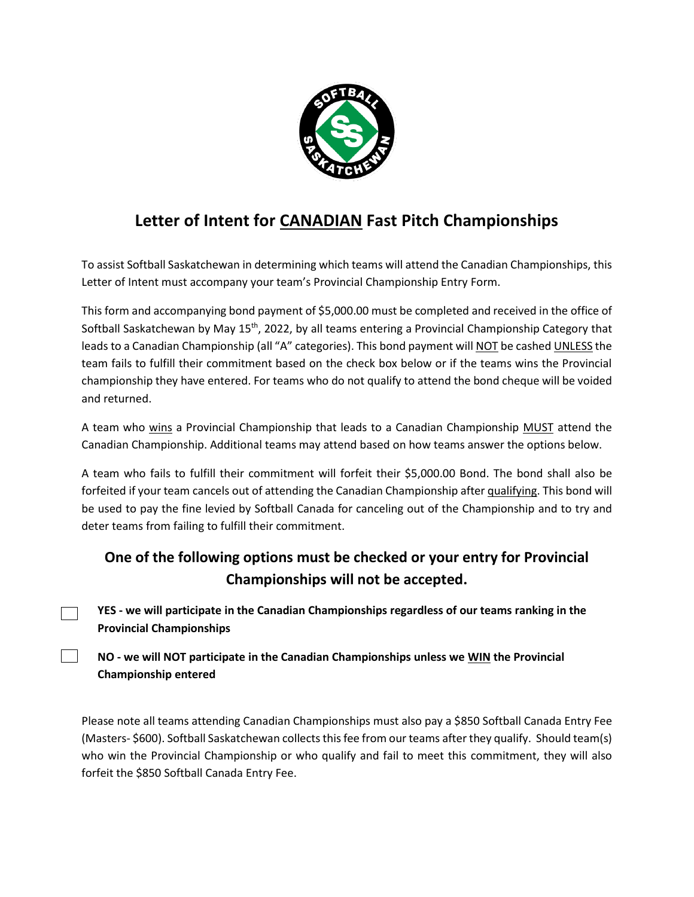

## **Letter of Intent for CANADIAN Fast Pitch Championships**

To assist Softball Saskatchewan in determining which teams will attend the Canadian Championships, this Letter of Intent must accompany your team's Provincial Championship Entry Form.

This form and accompanying bond payment of \$5,000.00 must be completed and received in the office of Softball Saskatchewan by May 15<sup>th</sup>, 2022, by all teams entering a Provincial Championship Category that leads to a Canadian Championship (all "A" categories). This bond payment will NOT be cashed UNLESS the team fails to fulfill their commitment based on the check box below or if the teams wins the Provincial championship they have entered. For teams who do not qualify to attend the bond cheque will be voided and returned.

A team who wins a Provincial Championship that leads to a Canadian Championship MUST attend the Canadian Championship. Additional teams may attend based on how teams answer the options below.

A team who fails to fulfill their commitment will forfeit their \$5,000.00 Bond. The bond shall also be forfeited if your team cancels out of attending the Canadian Championship after qualifying. This bond will be used to pay the fine levied by Softball Canada for canceling out of the Championship and to try and deter teams from failing to fulfill their commitment.

## **One of the following options must be checked or your entry for Provincial Championships will not be accepted.**

**YES - we will participate in the Canadian Championships regardless of our teams ranking in the Provincial Championships** 

**NO - we will NOT participate in the Canadian Championships unless we WIN the Provincial Championship entered** 

Please note all teams attending Canadian Championships must also pay a \$850 Softball Canada Entry Fee (Masters- \$600). Softball Saskatchewan collects this fee from our teams after they qualify. Should team(s) who win the Provincial Championship or who qualify and fail to meet this commitment, they will also forfeit the \$850 Softball Canada Entry Fee.